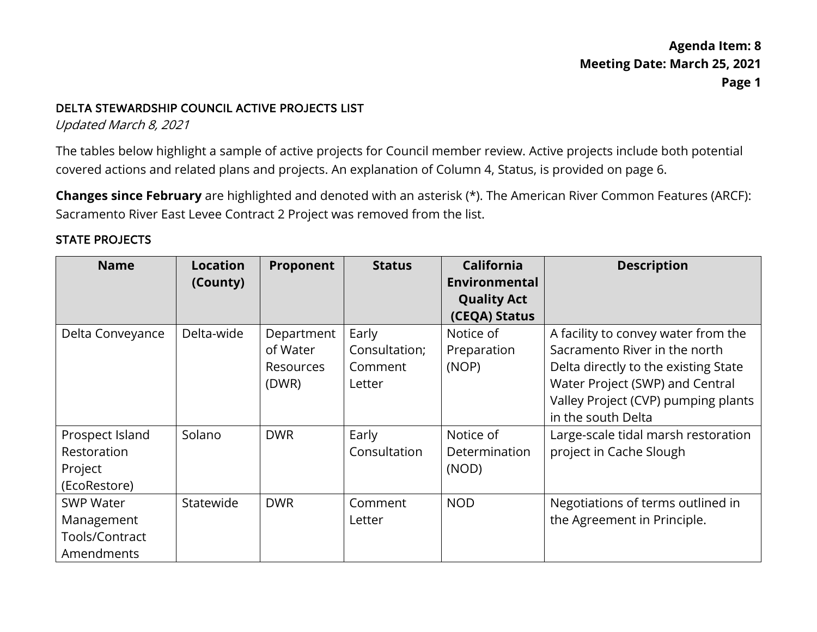#### DELTA STEWARDSHIP COUNCIL ACTIVE PROJECTS LIST

Updated March 8, 2021

 covered actions and related plans and projects. An explanation of Column 4, Status, is provided on page 6. The tables below highlight a sample of active projects for Council member review. Active projects include both potential

**Changes since February** are highlighted and denoted with an asterisk (\*). The American River Common Features (ARCF): Sacramento River East Levee Contract 2 Project was removed from the list.

### STATE PROJECTS

| <b>Name</b>      | <b>Location</b> | Proponent        | <b>Status</b> | <b>California</b>  | <b>Description</b>                   |
|------------------|-----------------|------------------|---------------|--------------------|--------------------------------------|
|                  | (County)        |                  |               | Environmental      |                                      |
|                  |                 |                  |               | <b>Quality Act</b> |                                      |
|                  |                 |                  |               | (CEQA) Status      |                                      |
| Delta Conveyance | Delta-wide      | Department       | Early         | Notice of          | A facility to convey water from the  |
|                  |                 | of Water         | Consultation; | Preparation        | Sacramento River in the north        |
|                  |                 | <b>Resources</b> | Comment       | (NOP)              | Delta directly to the existing State |
|                  |                 | (DWR)            | Letter        |                    | Water Project (SWP) and Central      |
|                  |                 |                  |               |                    | Valley Project (CVP) pumping plants  |
|                  |                 |                  |               |                    | in the south Delta                   |
| Prospect Island  | Solano          | <b>DWR</b>       | Early         | Notice of          | Large-scale tidal marsh restoration  |
| Restoration      |                 |                  | Consultation  | Determination      | project in Cache Slough              |
| Project          |                 |                  |               | (NOD)              |                                      |
| (EcoRestore)     |                 |                  |               |                    |                                      |
| <b>SWP Water</b> | Statewide       | <b>DWR</b>       | Comment       | <b>NOD</b>         | Negotiations of terms outlined in    |
| Management       |                 |                  | Letter        |                    | the Agreement in Principle.          |
| Tools/Contract   |                 |                  |               |                    |                                      |
| Amendments       |                 |                  |               |                    |                                      |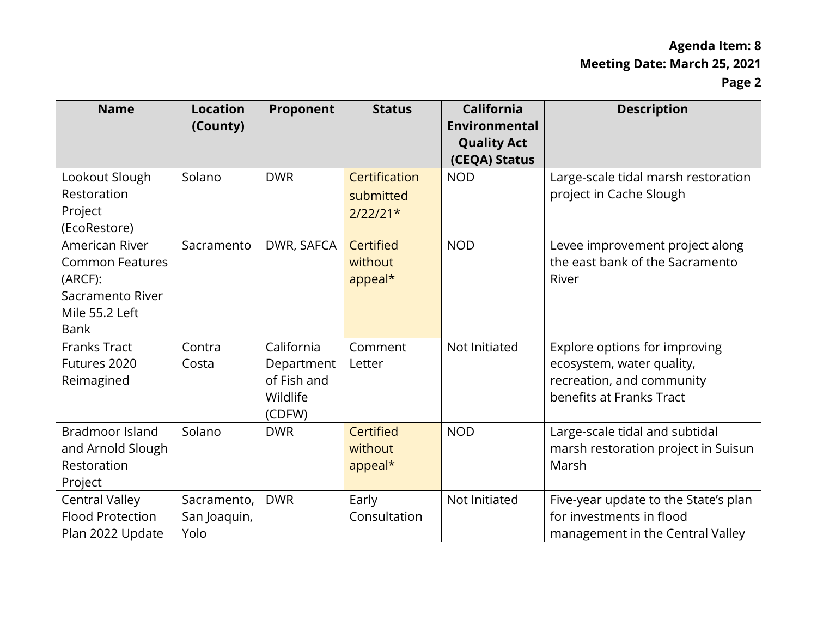| <b>Name</b>                                                                                              | <b>Location</b><br>(County)         | Proponent                                                     | <b>Status</b>                            | <b>California</b><br>Environmental<br><b>Quality Act</b><br>(CEQA) Status | <b>Description</b>                                                                                                  |
|----------------------------------------------------------------------------------------------------------|-------------------------------------|---------------------------------------------------------------|------------------------------------------|---------------------------------------------------------------------------|---------------------------------------------------------------------------------------------------------------------|
| Lookout Slough<br>Restoration<br>Project<br>(EcoRestore)                                                 | Solano                              | <b>DWR</b>                                                    | Certification<br>submitted<br>$2/22/21*$ | <b>NOD</b>                                                                | Large-scale tidal marsh restoration<br>project in Cache Slough                                                      |
| American River<br><b>Common Features</b><br>(ARCF):<br>Sacramento River<br>Mile 55.2 Left<br><b>Bank</b> | Sacramento                          | DWR, SAFCA                                                    | Certified<br>without<br>appeal*          | <b>NOD</b>                                                                | Levee improvement project along<br>the east bank of the Sacramento<br>River                                         |
| <b>Franks Tract</b><br>Futures 2020<br>Reimagined                                                        | Contra<br>Costa                     | California<br>Department<br>of Fish and<br>Wildlife<br>(CDFW) | Comment<br>Letter                        | Not Initiated                                                             | Explore options for improving<br>ecosystem, water quality,<br>recreation, and community<br>benefits at Franks Tract |
| <b>Bradmoor Island</b><br>and Arnold Slough<br>Restoration<br>Project                                    | Solano                              | <b>DWR</b>                                                    | Certified<br>without<br>appeal*          | <b>NOD</b>                                                                | Large-scale tidal and subtidal<br>marsh restoration project in Suisun<br>Marsh                                      |
| <b>Central Valley</b><br><b>Flood Protection</b><br>Plan 2022 Update                                     | Sacramento,<br>San Joaquin,<br>Yolo | <b>DWR</b>                                                    | Early<br>Consultation                    | Not Initiated                                                             | Five-year update to the State's plan<br>for investments in flood<br>management in the Central Valley                |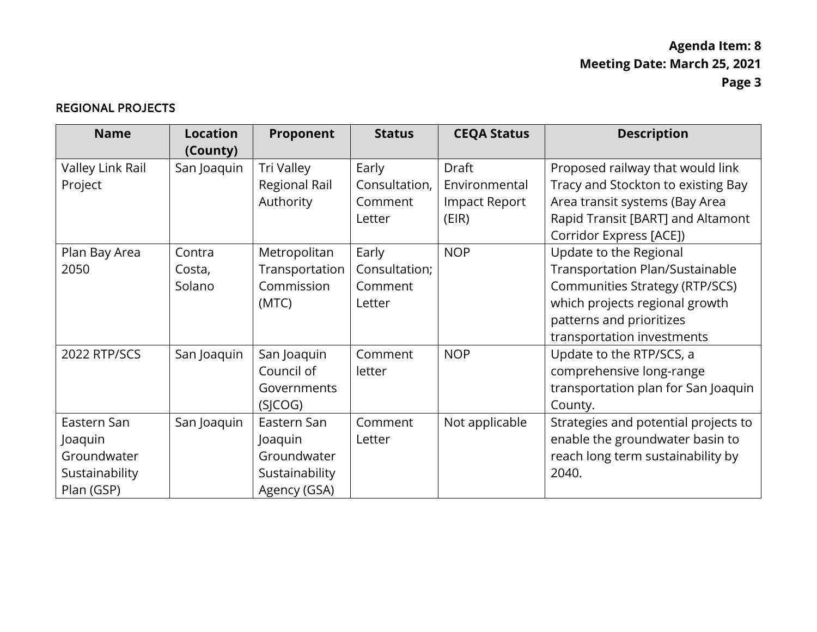#### REGIONAL PROJECTS

| <b>Name</b>                                                           | <b>Location</b><br>(County) | Proponent                                                               | <b>Status</b>                               | <b>CEQA Status</b>                                             | <b>Description</b>                                                                                                                                                                             |
|-----------------------------------------------------------------------|-----------------------------|-------------------------------------------------------------------------|---------------------------------------------|----------------------------------------------------------------|------------------------------------------------------------------------------------------------------------------------------------------------------------------------------------------------|
| Valley Link Rail<br>Project                                           | San Joaquin                 | Tri Valley<br>Regional Rail<br>Authority                                | Early<br>Consultation,<br>Comment<br>Letter | <b>Draft</b><br>Environmental<br><b>Impact Report</b><br>(EIR) | Proposed railway that would link<br>Tracy and Stockton to existing Bay<br>Area transit systems (Bay Area<br>Rapid Transit [BART] and Altamont<br>Corridor Express [ACE])                       |
| Plan Bay Area<br>2050                                                 | Contra<br>Costa,<br>Solano  | Metropolitan<br>Transportation<br>Commission<br>(MTC)                   | Early<br>Consultation;<br>Comment<br>Letter | <b>NOP</b>                                                     | Update to the Regional<br>Transportation Plan/Sustainable<br><b>Communities Strategy (RTP/SCS)</b><br>which projects regional growth<br>patterns and prioritizes<br>transportation investments |
| 2022 RTP/SCS                                                          | San Joaquin                 | San Joaquin<br>Council of<br>Governments<br>(SJCOG)                     | Comment<br>letter                           | <b>NOP</b>                                                     | Update to the RTP/SCS, a<br>comprehensive long-range<br>transportation plan for San Joaquin<br>County.                                                                                         |
| Eastern San<br>Joaquin<br>Groundwater<br>Sustainability<br>Plan (GSP) | San Joaquin                 | Eastern San<br>Joaquin<br>Groundwater<br>Sustainability<br>Agency (GSA) | Comment<br>Letter                           | Not applicable                                                 | Strategies and potential projects to<br>enable the groundwater basin to<br>reach long term sustainability by<br>2040.                                                                          |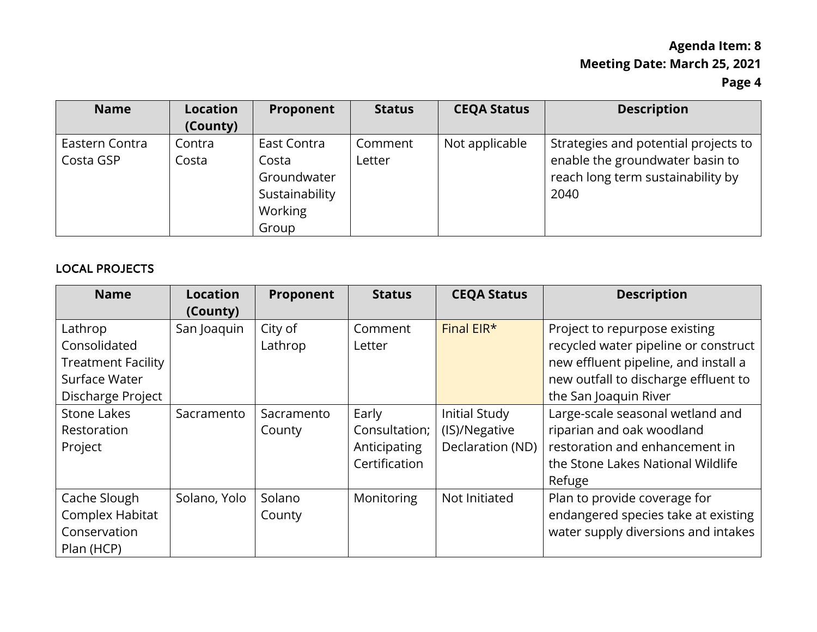| <b>Name</b>    | <b>Location</b> | Proponent      | <b>Status</b> | <b>CEQA Status</b> | <b>Description</b>                   |
|----------------|-----------------|----------------|---------------|--------------------|--------------------------------------|
|                | (County)        |                |               |                    |                                      |
| Eastern Contra | Contra          | East Contra    | Comment       | Not applicable     | Strategies and potential projects to |
| Costa GSP      | Costa           | Costa          | Letter        |                    | enable the groundwater basin to      |
|                |                 | Groundwater    |               |                    | reach long term sustainability by    |
|                |                 | Sustainability |               |                    | 2040                                 |
|                |                 | Working        |               |                    |                                      |
|                |                 | Group          |               |                    |                                      |

#### LOCAL PROJECTS

| <b>Name</b>               | <b>Location</b> | Proponent  | <b>Status</b> | <b>CEQA Status</b> | <b>Description</b>                   |
|---------------------------|-----------------|------------|---------------|--------------------|--------------------------------------|
|                           | (County)        |            |               |                    |                                      |
| Lathrop                   | San Joaquin     | City of    | Comment       | Final EIR*         | Project to repurpose existing        |
| Consolidated              |                 | Lathrop    | Letter        |                    | recycled water pipeline or construct |
| <b>Treatment Facility</b> |                 |            |               |                    | new effluent pipeline, and install a |
| Surface Water             |                 |            |               |                    | new outfall to discharge effluent to |
| Discharge Project         |                 |            |               |                    | the San Joaquin River                |
| <b>Stone Lakes</b>        | Sacramento      | Sacramento | Early         | Initial Study      | Large-scale seasonal wetland and     |
| Restoration               |                 | County     | Consultation; | (IS)/Negative      | riparian and oak woodland            |
| Project                   |                 |            | Anticipating  | Declaration (ND)   | restoration and enhancement in       |
|                           |                 |            | Certification |                    | the Stone Lakes National Wildlife    |
|                           |                 |            |               |                    | Refuge                               |
| Cache Slough              | Solano, Yolo    | Solano     | Monitoring    | Not Initiated      | Plan to provide coverage for         |
| Complex Habitat           |                 | County     |               |                    | endangered species take at existing  |
| Conservation              |                 |            |               |                    | water supply diversions and intakes  |
| Plan (HCP)                |                 |            |               |                    |                                      |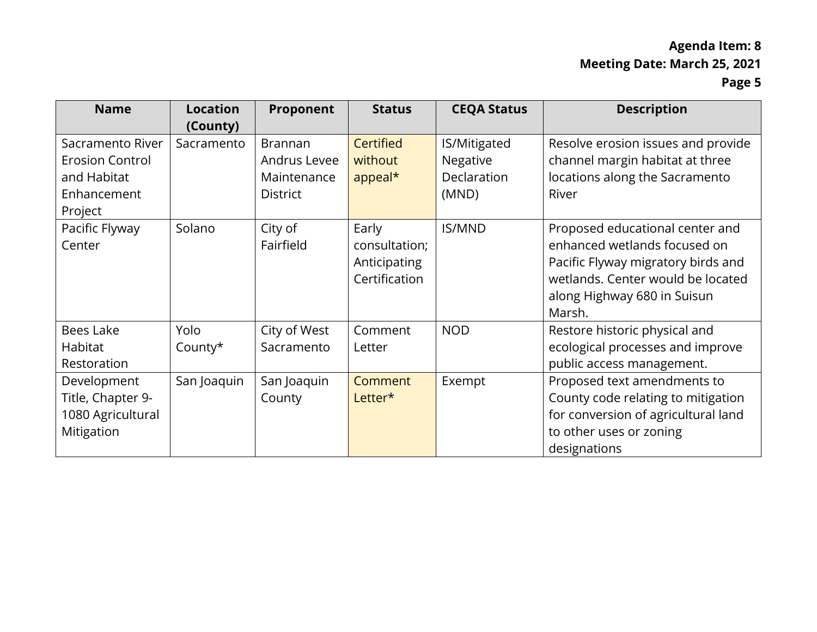| <b>Name</b>                                                                         | <b>Location</b><br>(County) | Proponent                                                        | <b>Status</b>                                           | <b>CEQA Status</b>                               | <b>Description</b>                                                                                                                                                                  |
|-------------------------------------------------------------------------------------|-----------------------------|------------------------------------------------------------------|---------------------------------------------------------|--------------------------------------------------|-------------------------------------------------------------------------------------------------------------------------------------------------------------------------------------|
| Sacramento River<br><b>Erosion Control</b><br>and Habitat<br>Enhancement<br>Project | Sacramento                  | <b>Brannan</b><br>Andrus Levee<br>Maintenance<br><b>District</b> | Certified<br>without<br>appeal*                         | IS/Mitigated<br>Negative<br>Declaration<br>(MND) | Resolve erosion issues and provide<br>channel margin habitat at three<br>locations along the Sacramento<br>River                                                                    |
| Pacific Flyway<br>Center                                                            | Solano                      | City of<br>Fairfield                                             | Early<br>consultation;<br>Anticipating<br>Certification | <b>IS/MND</b>                                    | Proposed educational center and<br>enhanced wetlands focused on<br>Pacific Flyway migratory birds and<br>wetlands. Center would be located<br>along Highway 680 in Suisun<br>Marsh. |
| Bees Lake<br>Habitat<br>Restoration                                                 | Yolo<br>County*             | City of West<br>Sacramento                                       | Comment<br>Letter                                       | <b>NOD</b>                                       | Restore historic physical and<br>ecological processes and improve<br>public access management.                                                                                      |
| Development<br>Title, Chapter 9-<br>1080 Agricultural<br>Mitigation                 | San Joaquin                 | San Joaquin<br>County                                            | Comment<br>Letter*                                      | Exempt                                           | Proposed text amendments to<br>County code relating to mitigation<br>for conversion of agricultural land<br>to other uses or zoning<br>designations                                 |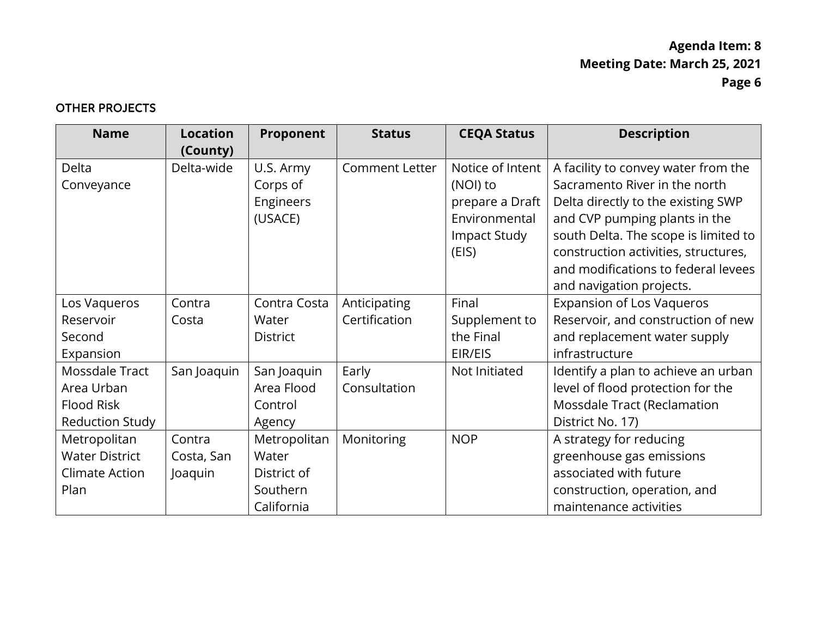### OTHER PROJECTS

| <b>Name</b>            | <b>Location</b> | Proponent       | <b>Status</b>         | <b>CEQA Status</b> | <b>Description</b>                   |
|------------------------|-----------------|-----------------|-----------------------|--------------------|--------------------------------------|
|                        | (County)        |                 |                       |                    |                                      |
| Delta                  | Delta-wide      | U.S. Army       | <b>Comment Letter</b> | Notice of Intent   | A facility to convey water from the  |
| Conveyance             |                 | Corps of        |                       | (NOI) to           | Sacramento River in the north        |
|                        |                 | Engineers       |                       | prepare a Draft    | Delta directly to the existing SWP   |
|                        |                 | (USACE)         |                       | Environmental      | and CVP pumping plants in the        |
|                        |                 |                 |                       | Impact Study       | south Delta. The scope is limited to |
|                        |                 |                 |                       | (EIS)              | construction activities, structures, |
|                        |                 |                 |                       |                    | and modifications to federal levees  |
|                        |                 |                 |                       |                    | and navigation projects.             |
| Los Vaqueros           | Contra          | Contra Costa    | Anticipating          | Final              | <b>Expansion of Los Vaqueros</b>     |
| Reservoir              | Costa           | Water           | Certification         | Supplement to      | Reservoir, and construction of new   |
| Second                 |                 | <b>District</b> |                       | the Final          | and replacement water supply         |
| Expansion              |                 |                 |                       | EIR/EIS            | infrastructure                       |
| Mossdale Tract         | San Joaquin     | San Joaquin     | Early                 | Not Initiated      | Identify a plan to achieve an urban  |
| Area Urban             |                 | Area Flood      | Consultation          |                    | level of flood protection for the    |
| <b>Flood Risk</b>      |                 | Control         |                       |                    | Mossdale Tract (Reclamation          |
| <b>Reduction Study</b> |                 | Agency          |                       |                    | District No. 17)                     |
| Metropolitan           | Contra          | Metropolitan    | Monitoring            | <b>NOP</b>         | A strategy for reducing              |
| <b>Water District</b>  | Costa, San      | Water           |                       |                    | greenhouse gas emissions             |
| <b>Climate Action</b>  | Joaquin         | District of     |                       |                    | associated with future               |
| Plan                   |                 | Southern        |                       |                    | construction, operation, and         |
|                        |                 | California      |                       |                    | maintenance activities               |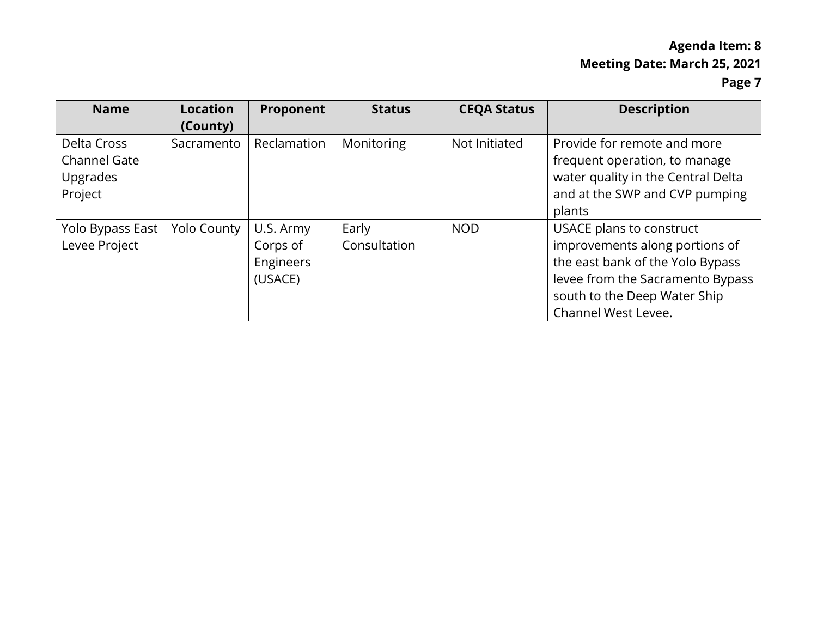| <b>Name</b>                                                      | <b>Location</b><br>(County) | Proponent                                     | <b>Status</b>         | <b>CEQA Status</b> | <b>Description</b>                                                                                                                                                                        |
|------------------------------------------------------------------|-----------------------------|-----------------------------------------------|-----------------------|--------------------|-------------------------------------------------------------------------------------------------------------------------------------------------------------------------------------------|
| Delta Cross<br><b>Channel Gate</b><br><b>Upgrades</b><br>Project | Sacramento                  | Reclamation                                   | Monitoring            | Not Initiated      | Provide for remote and more<br>frequent operation, to manage<br>water quality in the Central Delta<br>and at the SWP and CVP pumping<br>plants                                            |
| Yolo Bypass East<br>Levee Project                                | Yolo County                 | U.S. Army<br>Corps of<br>Engineers<br>(USACE) | Early<br>Consultation | <b>NOD</b>         | USACE plans to construct<br>improvements along portions of<br>the east bank of the Yolo Bypass<br>levee from the Sacramento Bypass<br>south to the Deep Water Ship<br>Channel West Levee. |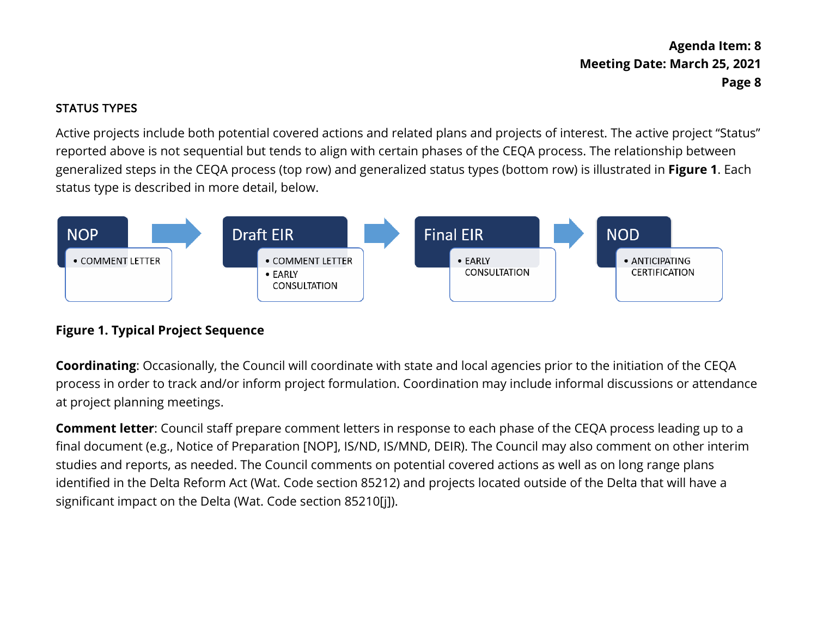### STATUS TYPES

 status type is described in more detail, below. Active projects include both potential covered actions and related plans and projects of interest. The active project "Status" reported above is not sequential but tends to align with certain phases of the CEQA process. The relationship between generalized steps in the CEQA process (top row) and generalized status types (bottom row) is illustrated in **Figure 1**. Each



## **Figure 1. Typical Project Sequence**

 process in order to track and/or inform project formulation. Coordination may include informal discussions or attendance **Coordinating**: Occasionally, the Council will coordinate with state and local agencies prior to the initiation of the CEQA at project planning meetings.

 **Comment letter**: Council staff prepare comment letters in response to each phase of the CEQA process leading up to a identified in the Delta Reform Act (Wat. Code section 85212) and projects located outside of the Delta that will have a final document (e.g., Notice of Preparation [NOP], IS/ND, IS/MND, DEIR). The Council may also comment on other interim studies and reports, as needed. The Council comments on potential covered actions as well as on long range plans significant impact on the Delta (Wat. Code section 85210[j]).